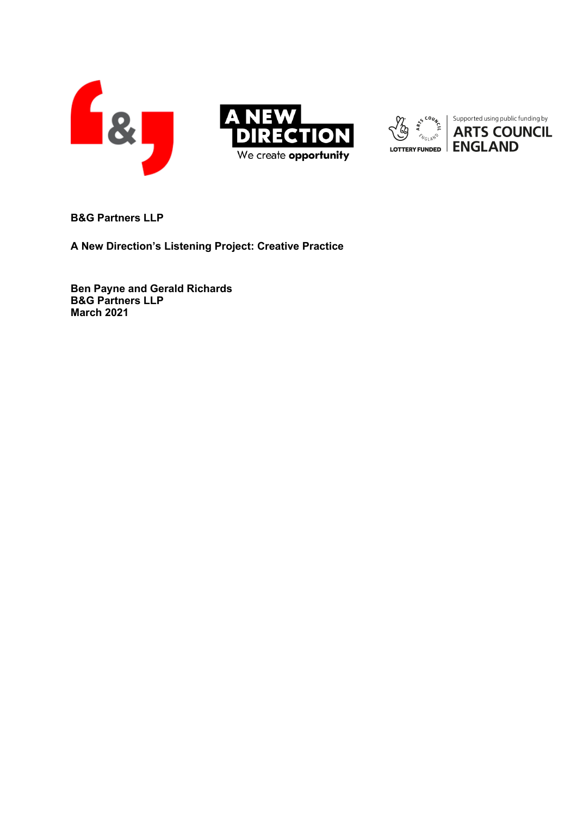

**B&G Partners LLP**

**A New Direction's Listening Project: Creative Practice**

**Ben Payne and Gerald Richards B&G Partners LLP March 2021**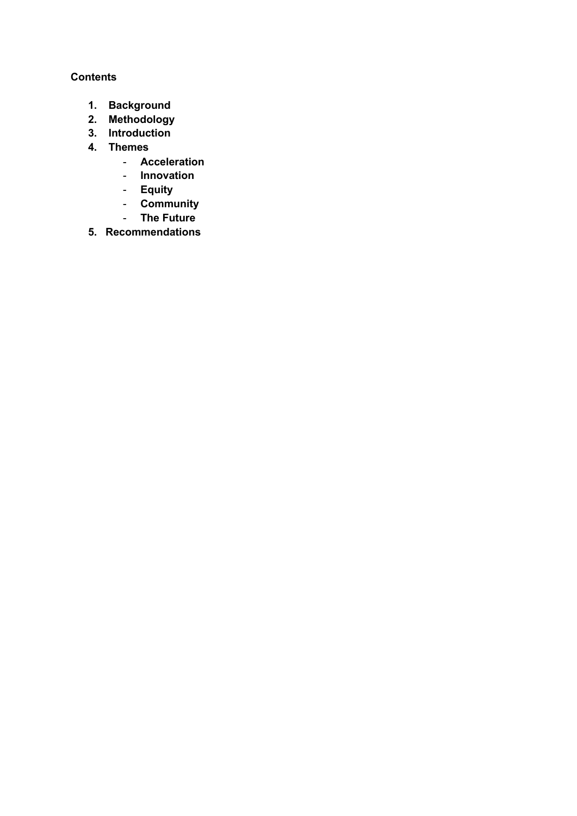# **Contents**

- **1. Background**
- **2. Methodology**
- **3. Introduction**
- **4. Themes** 
	- **Acceleration**
	- **Innovation**
	- **Equity**
	- **Community**
	- **The Future**
- **5. Recommendations**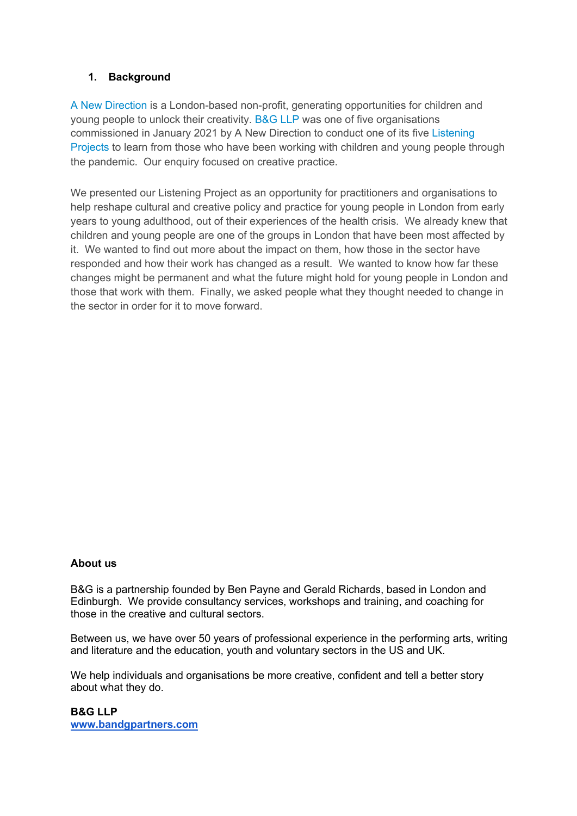# **1. Background**

[A New Direction](https://www.anewdirection.org.uk/) is a London-based non-profit, generating opportunities for children and young people to unlock their creativity. [B&G LLP](http://www.bandgpartners.com/) was one of five organisations commissioned in January 2021 by A New Direction to conduct one of its five [Listening](https://www.anewdirection.org.uk/research/listening-projects)  [Projects](https://www.anewdirection.org.uk/research/listening-projects) to learn from those who have been working with children and young people through the pandemic. Our enquiry focused on creative practice.

We presented our Listening Project as an opportunity for practitioners and organisations to help reshape cultural and creative policy and practice for young people in London from early years to young adulthood, out of their experiences of the health crisis. We already knew that children and young people are one of the groups in London that have been most affected by it. We wanted to find out more about the impact on them, how those in the sector have responded and how their work has changed as a result. We wanted to know how far these changes might be permanent and what the future might hold for young people in London and those that work with them. Finally, we asked people what they thought needed to change in the sector in order for it to move forward.

#### **About us**

B&G is a partnership founded by Ben Payne and Gerald Richards, based in London and Edinburgh. We provide consultancy services, workshops and training, and coaching for those in the creative and cultural sectors.

Between us, we have over 50 years of professional experience in the performing arts, writing and literature and the education, youth and voluntary sectors in the US and UK.

We help individuals and organisations be more creative, confident and tell a better story about what they do.

**B&G LLP www.bandgpartners.com**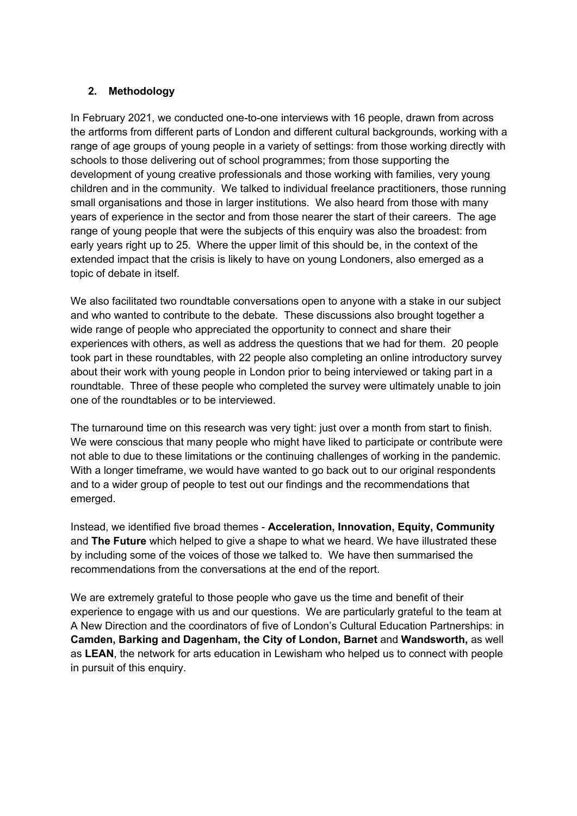# **2. Methodology**

In February 2021, we conducted one-to-one interviews with 16 people, drawn from across the artforms from different parts of London and different cultural backgrounds, working with a range of age groups of young people in a variety of settings: from those working directly with schools to those delivering out of school programmes; from those supporting the development of young creative professionals and those working with families, very young children and in the community. We talked to individual freelance practitioners, those running small organisations and those in larger institutions. We also heard from those with many years of experience in the sector and from those nearer the start of their careers. The age range of young people that were the subjects of this enquiry was also the broadest: from early years right up to 25. Where the upper limit of this should be, in the context of the extended impact that the crisis is likely to have on young Londoners, also emerged as a topic of debate in itself.

We also facilitated two roundtable conversations open to anyone with a stake in our subject and who wanted to contribute to the debate. These discussions also brought together a wide range of people who appreciated the opportunity to connect and share their experiences with others, as well as address the questions that we had for them. 20 people took part in these roundtables, with 22 people also completing an online introductory survey about their work with young people in London prior to being interviewed or taking part in a roundtable. Three of these people who completed the survey were ultimately unable to join one of the roundtables or to be interviewed.

The turnaround time on this research was very tight: just over a month from start to finish. We were conscious that many people who might have liked to participate or contribute were not able to due to these limitations or the continuing challenges of working in the pandemic. With a longer timeframe, we would have wanted to go back out to our original respondents and to a wider group of people to test out our findings and the recommendations that emerged.

Instead, we identified five broad themes - **Acceleration, Innovation, Equity, Community** and **The Future** which helped to give a shape to what we heard. We have illustrated these by including some of the voices of those we talked to. We have then summarised the recommendations from the conversations at the end of the report.

We are extremely grateful to those people who gave us the time and benefit of their experience to engage with us and our questions. We are particularly grateful to the team at A New Direction and the coordinators of five of London's Cultural Education Partnerships: in **Camden, Barking and Dagenham, the City of London, Barnet** and **Wandsworth,** as well as **LEAN**, the network for arts education in Lewisham who helped us to connect with people in pursuit of this enquiry.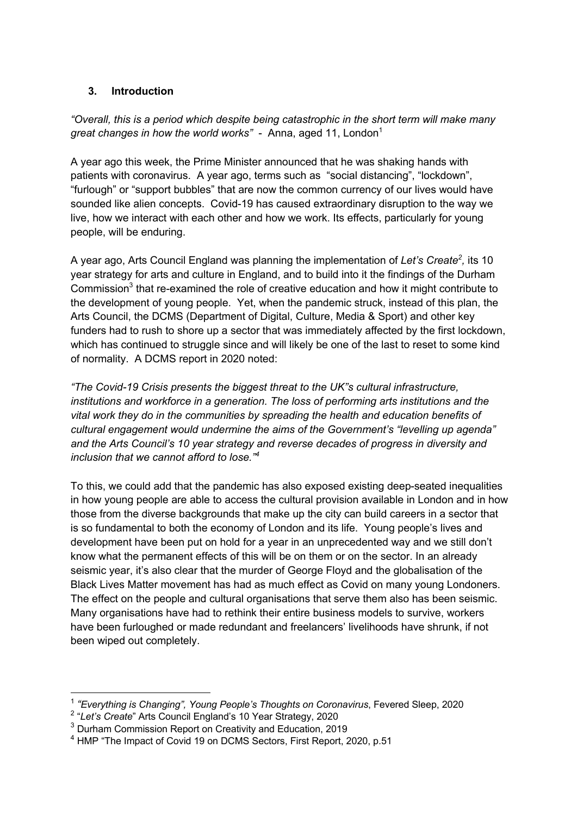# **3. Introduction**

*"Overall, this is a period which despite being catastrophic in the short term will make many great changes in how the world works*" - Anna, aged 11, London<sup>1</sup>

A year ago this week, the Prime Minister announced that he was shaking hands with patients with coronavirus. A year ago, terms such as "social distancing", "lockdown", "furlough" or "support bubbles" that are now the common currency of our lives would have sounded like alien concepts. Covid-19 has caused extraordinary disruption to the way we live, how we interact with each other and how we work. Its effects, particularly for young people, will be enduring.

A year ago, Arts Council England was planning the implementation of Let's Create<sup>2</sup>, its 10 year strategy for arts and culture in England, and to build into it the findings of the Durham Commission<sup>3</sup> that re-examined the role of creative education and how it might contribute to the development of young people. Yet, when the pandemic struck, instead of this plan, the Arts Council, the DCMS (Department of Digital, Culture, Media & Sport) and other key funders had to rush to shore up a sector that was immediately affected by the first lockdown, which has continued to struggle since and will likely be one of the last to reset to some kind of normality. A DCMS report in 2020 noted:

*"The Covid-19 Crisis presents the biggest threat to the UK"s cultural infrastructure, institutions and workforce in a generation. The loss of performing arts institutions and the vital work they do in the communities by spreading the health and education benefits of cultural engagement would undermine the aims of the Government's "levelling up agenda" and the Arts Council's 10 year strategy and reverse decades of progress in diversity and inclusion that we cannot afford to lose." 4*

To this, we could add that the pandemic has also exposed existing deep-seated inequalities in how young people are able to access the cultural provision available in London and in how those from the diverse backgrounds that make up the city can build careers in a sector that is so fundamental to both the economy of London and its life. Young people's lives and development have been put on hold for a year in an unprecedented way and we still don't know what the permanent effects of this will be on them or on the sector. In an already seismic year, it's also clear that the murder of George Floyd and the globalisation of the Black Lives Matter movement has had as much effect as Covid on many young Londoners. The effect on the people and cultural organisations that serve them also has been seismic. Many organisations have had to rethink their entire business models to survive, workers have been furloughed or made redundant and freelancers' livelihoods have shrunk, if not been wiped out completely.

<sup>1</sup> *"Everything is Changing", Young People's Thoughts on Coronavirus*, Fevered Sleep, 2020

<sup>2</sup> "*Let's Create*" Arts Council England's 10 Year Strategy, 2020

 $3$  Durham Commission Report on Creativity and Education, 2019

<sup>4</sup> HMP "The Impact of Covid 19 on DCMS Sectors, First Report, 2020, p.51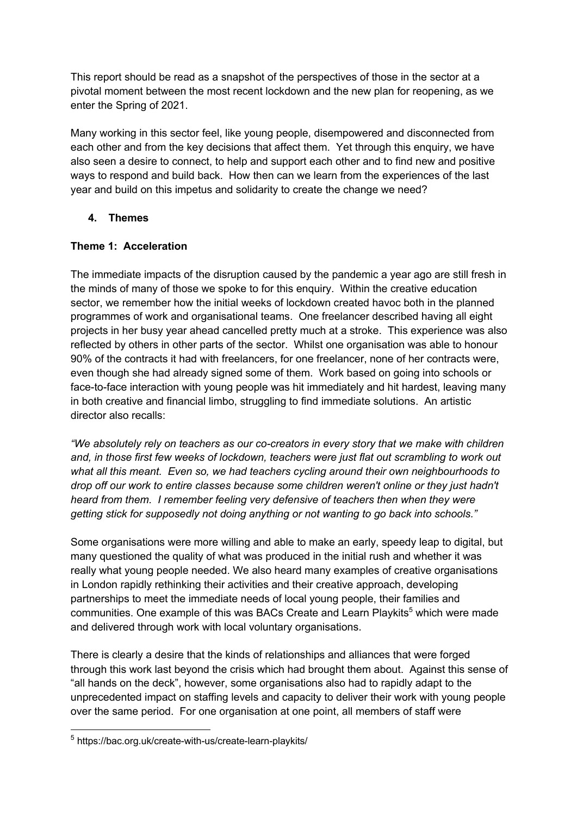This report should be read as a snapshot of the perspectives of those in the sector at a pivotal moment between the most recent lockdown and the new plan for reopening, as we enter the Spring of 2021.

Many working in this sector feel, like young people, disempowered and disconnected from each other and from the key decisions that affect them. Yet through this enquiry, we have also seen a desire to connect, to help and support each other and to find new and positive ways to respond and build back. How then can we learn from the experiences of the last year and build on this impetus and solidarity to create the change we need?

## **4. Themes**

#### **Theme 1: Acceleration**

The immediate impacts of the disruption caused by the pandemic a year ago are still fresh in the minds of many of those we spoke to for this enquiry. Within the creative education sector, we remember how the initial weeks of lockdown created havoc both in the planned programmes of work and organisational teams. One freelancer described having all eight projects in her busy year ahead cancelled pretty much at a stroke. This experience was also reflected by others in other parts of the sector. Whilst one organisation was able to honour 90% of the contracts it had with freelancers, for one freelancer, none of her contracts were, even though she had already signed some of them. Work based on going into schools or face-to-face interaction with young people was hit immediately and hit hardest, leaving many in both creative and financial limbo, struggling to find immediate solutions. An artistic director also recalls:

*"We absolutely rely on teachers as our co-creators in every story that we make with children and, in those first few weeks of lockdown, teachers were just flat out scrambling to work out what all this meant. Even so, we had teachers cycling around their own neighbourhoods to drop off our work to entire classes because some children weren't online or they just hadn't heard from them. I remember feeling very defensive of teachers then when they were getting stick for supposedly not doing anything or not wanting to go back into schools."*

Some organisations were more willing and able to make an early, speedy leap to digital, but many questioned the quality of what was produced in the initial rush and whether it was really what young people needed. We also heard many examples of creative organisations in London rapidly rethinking their activities and their creative approach, developing partnerships to meet the immediate needs of local young people, their families and communities. One example of this was BACs Create and Learn Playkits<sup>5</sup> which were made and delivered through work with local voluntary organisations.

There is clearly a desire that the kinds of relationships and alliances that were forged through this work last beyond the crisis which had brought them about. Against this sense of "all hands on the deck", however, some organisations also had to rapidly adapt to the unprecedented impact on staffing levels and capacity to deliver their work with young people over the same period. For one organisation at one point, all members of staff were

<sup>5</sup> https://bac.org.uk/create-with-us/create-learn-playkits/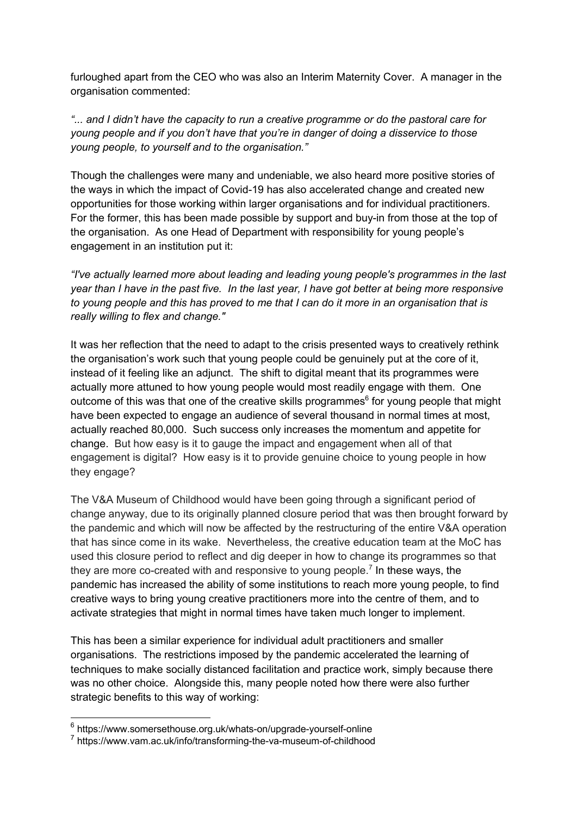furloughed apart from the CEO who was also an Interim Maternity Cover. A manager in the organisation commented:

*"... and I didn't have the capacity to run a creative programme or do the pastoral care for young people and if you don't have that you're in danger of doing a disservice to those young people, to yourself and to the organisation."*

Though the challenges were many and undeniable, we also heard more positive stories of the ways in which the impact of Covid-19 has also accelerated change and created new opportunities for those working within larger organisations and for individual practitioners. For the former, this has been made possible by support and buy-in from those at the top of the organisation. As one Head of Department with responsibility for young people's engagement in an institution put it:

*"I've actually learned more about leading and leading young people's programmes in the last year than I have in the past five. In the last year, I have got better at being more responsive to young people and this has proved to me that I can do it more in an organisation that is really willing to flex and change."*

It was her reflection that the need to adapt to the crisis presented ways to creatively rethink the organisation's work such that young people could be genuinely put at the core of it, instead of it feeling like an adjunct. The shift to digital meant that its programmes were actually more attuned to how young people would most readily engage with them. One outcome of this was that one of the creative skills programmes $6$  for young people that might have been expected to engage an audience of several thousand in normal times at most, actually reached 80,000. Such success only increases the momentum and appetite for change. But how easy is it to gauge the impact and engagement when all of that engagement is digital? How easy is it to provide genuine choice to young people in how they engage?

The V&A Museum of Childhood would have been going through a significant period of change anyway, due to its originally planned closure period that was then brought forward by the pandemic and which will now be affected by the restructuring of the entire V&A operation that has since come in its wake. Nevertheless, the creative education team at the MoC has used this closure period to reflect and dig deeper in how to change its programmes so that they are more co-created with and responsive to young people.<sup>7</sup> In these ways, the pandemic has increased the ability of some institutions to reach more young people, to find creative ways to bring young creative practitioners more into the centre of them, and to activate strategies that might in normal times have taken much longer to implement.

This has been a similar experience for individual adult practitioners and smaller organisations. The restrictions imposed by the pandemic accelerated the learning of techniques to make socially distanced facilitation and practice work, simply because there was no other choice. Alongside this, many people noted how there were also further strategic benefits to this way of working:

 $6$  https://www.somersethouse.org.uk/whats-on/upgrade-yourself-online

<sup>7</sup> https://www.vam.ac.uk/info/transforming-the-va-museum-of-childhood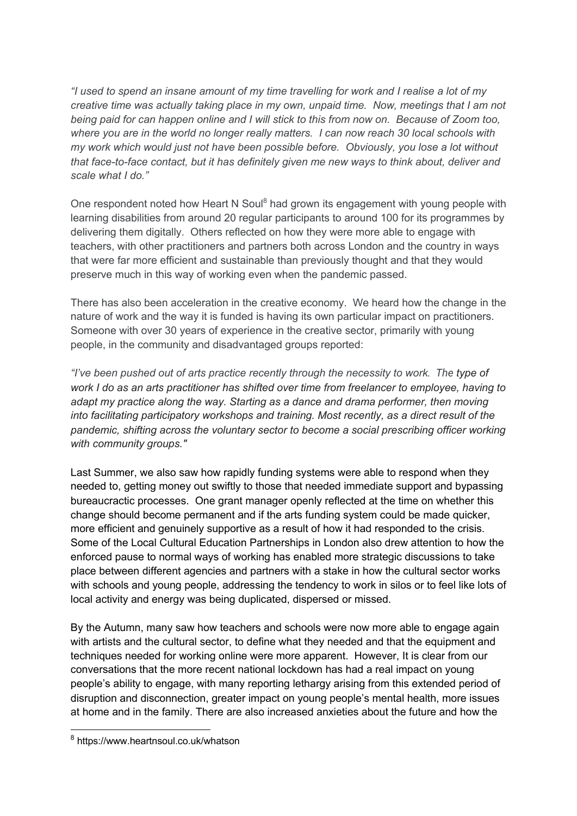*"I used to spend an insane amount of my time travelling for work and I realise a lot of my creative time was actually taking place in my own, unpaid time. Now, meetings that I am not being paid for can happen online and I will stick to this from now on. Because of Zoom too, where you are in the world no longer really matters. I can now reach 30 local schools with my work which would just not have been possible before. Obviously, you lose a lot without that face-to-face contact, but it has definitely given me new ways to think about, deliver and scale what I do."*

One respondent noted how Heart N Soul<sup>8</sup> had grown its engagement with young people with learning disabilities from around 20 regular participants to around 100 for its programmes by delivering them digitally. Others reflected on how they were more able to engage with teachers, with other practitioners and partners both across London and the country in ways that were far more efficient and sustainable than previously thought and that they would preserve much in this way of working even when the pandemic passed.

There has also been acceleration in the creative economy. We heard how the change in the nature of work and the way it is funded is having its own particular impact on practitioners. Someone with over 30 years of experience in the creative sector, primarily with young people, in the community and disadvantaged groups reported:

*"I've been pushed out of arts practice recently through the necessity to work. The type of work I do as an arts practitioner has shifted over time from freelancer to employee, having to adapt my practice along the way. Starting as a dance and drama performer, then moving into facilitating participatory workshops and training. Most recently, as a direct result of the pandemic, shifting across the voluntary sector to become a social prescribing officer working with community groups."*

Last Summer, we also saw how rapidly funding systems were able to respond when they needed to, getting money out swiftly to those that needed immediate support and bypassing bureaucractic processes. One grant manager openly reflected at the time on whether this change should become permanent and if the arts funding system could be made quicker, more efficient and genuinely supportive as a result of how it had responded to the crisis. Some of the Local Cultural Education Partnerships in London also drew attention to how the enforced pause to normal ways of working has enabled more strategic discussions to take place between different agencies and partners with a stake in how the cultural sector works with schools and young people, addressing the tendency to work in silos or to feel like lots of local activity and energy was being duplicated, dispersed or missed.

By the Autumn, many saw how teachers and schools were now more able to engage again with artists and the cultural sector, to define what they needed and that the equipment and techniques needed for working online were more apparent. However, It is clear from our conversations that the more recent national lockdown has had a real impact on young people's ability to engage, with many reporting lethargy arising from this extended period of disruption and disconnection, greater impact on young people's mental health, more issues at home and in the family. There are also increased anxieties about the future and how the

<sup>8</sup> https://www.heartnsoul.co.uk/whatson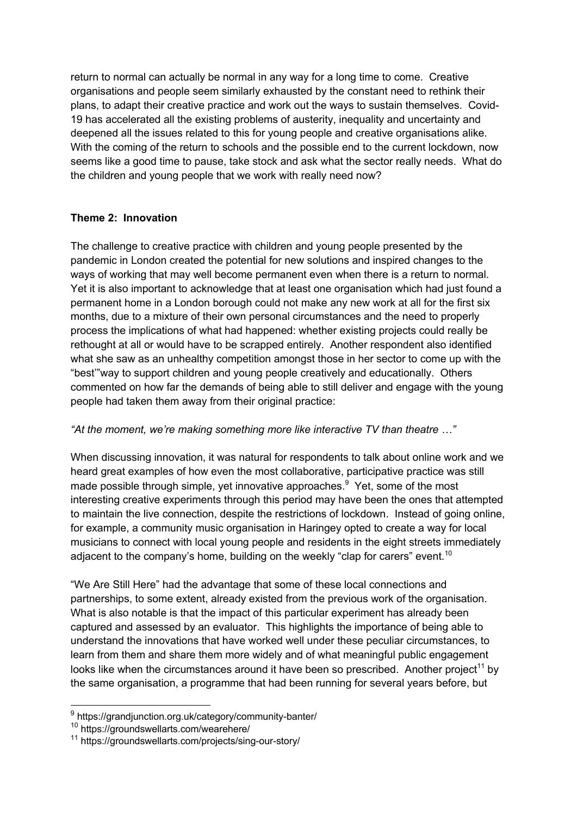return to normal can actually be normal in any way for a long time to come. Creative organisations and people seem similarly exhausted by the constant need to rethink their plans, to adapt their creative practice and work out the ways to sustain themselves. Covid-19 has accelerated all the existing problems of austerity, inequality and uncertainty and deepened all the issues related to this for young people and creative organisations alike. With the coming of the return to schools and the possible end to the current lockdown, now seems like a good time to pause, take stock and ask what the sector really needs. What do the children and young people that we work with really need now?

#### **Theme 2: Innovation**

The challenge to creative practice with children and young people presented by the pandemic in London created the potential for new solutions and inspired changes to the ways of working that may well become permanent even when there is a return to normal. Yet it is also important to acknowledge that at least one organisation which had just found a permanent home in a London borough could not make any new work at all for the first six months, due to a mixture of their own personal circumstances and the need to properly process the implications of what had happened: whether existing projects could really be rethought at all or would have to be scrapped entirely. Another respondent also identified what she saw as an unhealthy competition amongst those in her sector to come up with the "best'"way to support children and young people creatively and educationally. Others commented on how far the demands of being able to still deliver and engage with the young people had taken them away from their original practice:

#### *"At the moment, we're making something more like interactive TV than theatre …"*

When discussing innovation, it was natural for respondents to talk about online work and we heard great examples of how even the most collaborative, participative practice was still made possible through simple, yet innovative approaches.<sup>9</sup> Yet, some of the most interesting creative experiments through this period may have been the ones that attempted to maintain the live connection, despite the restrictions of lockdown. Instead of going online, for example, a community music organisation in Haringey opted to create a way for local musicians to connect with local young people and residents in the eight streets immediately adjacent to the company's home, building on the weekly "clap for carers" event.<sup>10</sup>

"We Are Still Here" had the advantage that some of these local connections and partnerships, to some extent, already existed from the previous work of the organisation. What is also notable is that the impact of this particular experiment has already been captured and assessed by an evaluator. This highlights the importance of being able to understand the innovations that have worked well under these peculiar circumstances, to learn from them and share them more widely and of what meaningful public engagement looks like when the circumstances around it have been so prescribed. Another project<sup>11</sup> by the same organisation, a programme that had been running for several years before, but

<sup>9</sup> https://grandjunction.org.uk/category/community-banter/

<sup>10</sup> https://groundswellarts.com/wearehere/

<sup>11</sup> https://groundswellarts.com/projects/sing-our-story/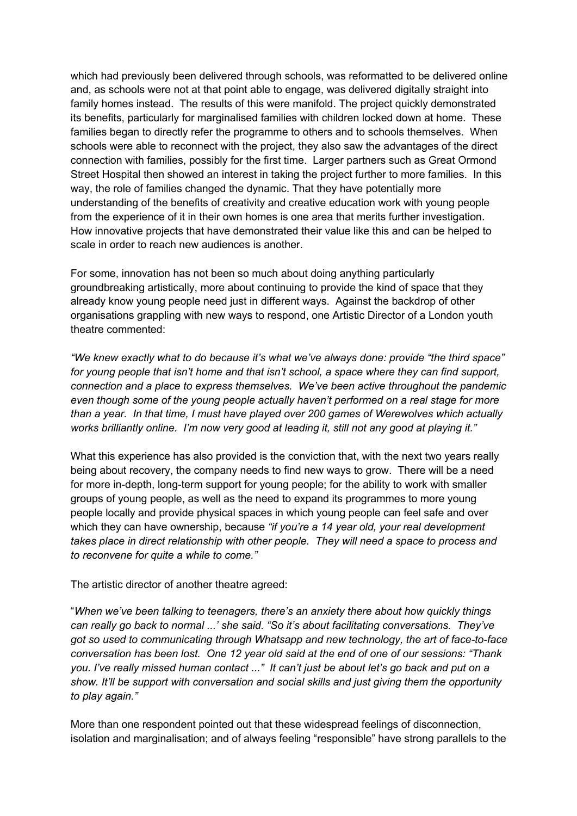which had previously been delivered through schools, was reformatted to be delivered online and, as schools were not at that point able to engage, was delivered digitally straight into family homes instead. The results of this were manifold. The project quickly demonstrated its benefits, particularly for marginalised families with children locked down at home. These families began to directly refer the programme to others and to schools themselves. When schools were able to reconnect with the project, they also saw the advantages of the direct connection with families, possibly for the first time. Larger partners such as Great Ormond Street Hospital then showed an interest in taking the project further to more families. In this way, the role of families changed the dynamic. That they have potentially more understanding of the benefits of creativity and creative education work with young people from the experience of it in their own homes is one area that merits further investigation. How innovative projects that have demonstrated their value like this and can be helped to scale in order to reach new audiences is another.

For some, innovation has not been so much about doing anything particularly groundbreaking artistically, more about continuing to provide the kind of space that they already know young people need just in different ways. Against the backdrop of other organisations grappling with new ways to respond, one Artistic Director of a London youth theatre commented:

*"We knew exactly what to do because it's what we've always done: provide "the third space" for young people that isn't home and that isn't school, a space where they can find support, connection and a place to express themselves. We've been active throughout the pandemic even though some of the young people actually haven't performed on a real stage for more than a year. In that time, I must have played over 200 games of Werewolves which actually works brilliantly online. I'm now very good at leading it, still not any good at playing it."*

What this experience has also provided is the conviction that, with the next two years really being about recovery, the company needs to find new ways to grow. There will be a need for more in-depth, long-term support for young people; for the ability to work with smaller groups of young people, as well as the need to expand its programmes to more young people locally and provide physical spaces in which young people can feel safe and over which they can have ownership, because *"if you're a 14 year old, your real development takes place in direct relationship with other people. They will need a space to process and to reconvene for quite a while to come."*

The artistic director of another theatre agreed:

"*When we've been talking to teenagers, there's an anxiety there about how quickly things can really go back to normal ...' she said. "So it's about facilitating conversations. They've got so used to communicating through Whatsapp and new technology, the art of face-to-face conversation has been lost. One 12 year old said at the end of one of our sessions: "Thank you. I've really missed human contact ..." It can't just be about let's go back and put on a show. It'll be support with conversation and social skills and just giving them the opportunity to play again."*

More than one respondent pointed out that these widespread feelings of disconnection, isolation and marginalisation; and of always feeling "responsible" have strong parallels to the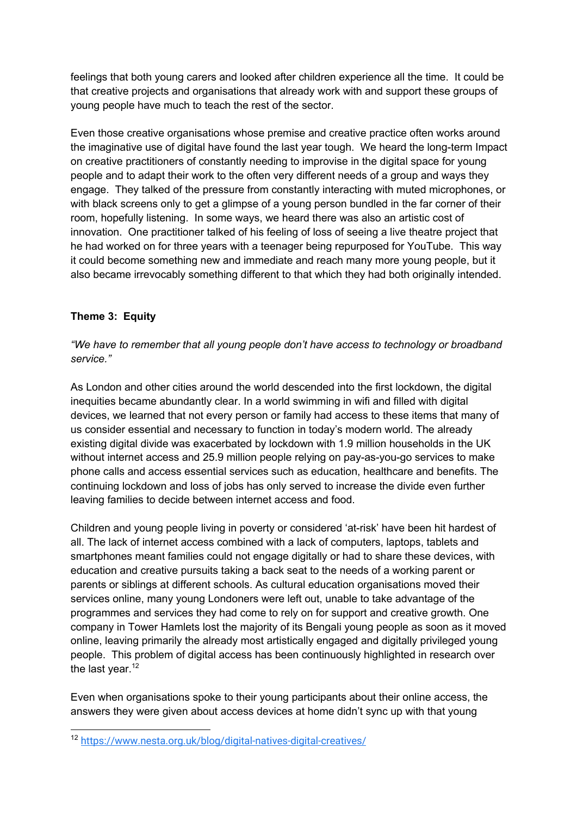feelings that both young carers and looked after children experience all the time. It could be that creative projects and organisations that already work with and support these groups of young people have much to teach the rest of the sector.

Even those creative organisations whose premise and creative practice often works around the imaginative use of digital have found the last year tough. We heard the long-term Impact on creative practitioners of constantly needing to improvise in the digital space for young people and to adapt their work to the often very different needs of a group and ways they engage. They talked of the pressure from constantly interacting with muted microphones, or with black screens only to get a glimpse of a young person bundled in the far corner of their room, hopefully listening. In some ways, we heard there was also an artistic cost of innovation. One practitioner talked of his feeling of loss of seeing a live theatre project that he had worked on for three years with a teenager being repurposed for YouTube. This way it could become something new and immediate and reach many more young people, but it also became irrevocably something different to that which they had both originally intended.

## **Theme 3: Equity**

*"We have to remember that all young people don't have access to technology or broadband service."*

As London and other cities around the world descended into the first lockdown, the digital inequities became abundantly clear. In a world swimming in wifi and filled with digital devices, we learned that not every person or family had access to these items that many of us consider essential and necessary to function in today's modern world. The already existing digital divide was exacerbated by lockdown with 1.9 million households in the UK without internet access and 25.9 million people relying on pay-as-you-go services to make phone calls and access essential services such as education, healthcare and benefits. The continuing lockdown and loss of jobs has only served to increase the divide even further leaving families to decide between internet access and food.

Children and young people living in poverty or considered 'at-risk' have been hit hardest of all. The lack of internet access combined with a lack of computers, laptops, tablets and smartphones meant families could not engage digitally or had to share these devices, with education and creative pursuits taking a back seat to the needs of a working parent or parents or siblings at different schools. As cultural education organisations moved their services online, many young Londoners were left out, unable to take advantage of the programmes and services they had come to rely on for support and creative growth. One company in Tower Hamlets lost the majority of its Bengali young people as soon as it moved online, leaving primarily the already most artistically engaged and digitally privileged young people. This problem of digital access has been continuously highlighted in research over the last year. $12$ 

Even when organisations spoke to their young participants about their online access, the answers they were given about access devices at home didn't sync up with that young

<sup>12</sup> https://www.nesta.org.uk/blog/digital-natives-digital-creatives/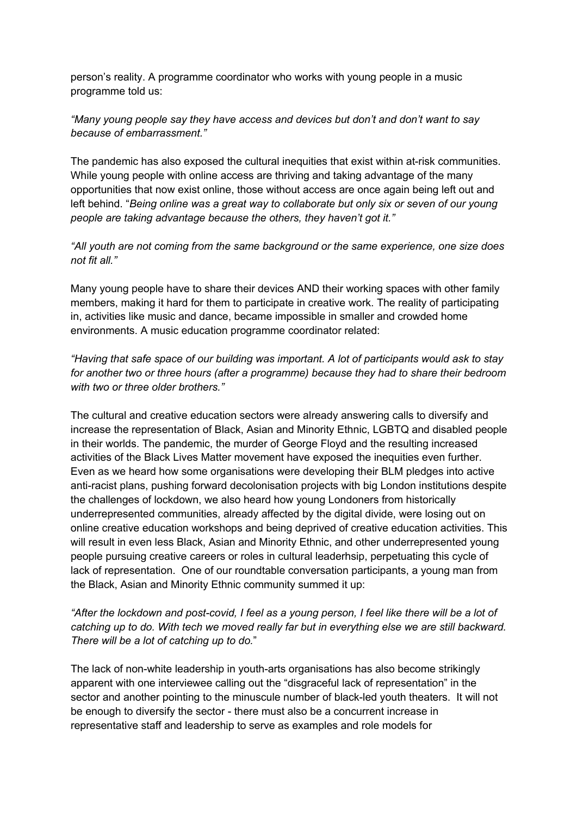person's reality. A programme coordinator who works with young people in a music programme told us:

*"Many young people say they have access and devices but don't and don't want to say because of embarrassment."* 

The pandemic has also exposed the cultural inequities that exist within at-risk communities. While young people with online access are thriving and taking advantage of the many opportunities that now exist online, those without access are once again being left out and left behind. "*Being online was a great way to collaborate but only six or seven of our young people are taking advantage because the others, they haven't got it."*

*"All youth are not coming from the same background or the same experience, one size does not fit all."*

Many young people have to share their devices AND their working spaces with other family members, making it hard for them to participate in creative work. The reality of participating in, activities like music and dance, became impossible in smaller and crowded home environments. A music education programme coordinator related:

*"Having that safe space of our building was important. A lot of participants would ask to stay for another two or three hours (after a programme) because they had to share their bedroom with two or three older brothers."*

The cultural and creative education sectors were already answering calls to diversify and increase the representation of Black, Asian and Minority Ethnic, LGBTQ and disabled people in their worlds. The pandemic, the murder of George Floyd and the resulting increased activities of the Black Lives Matter movement have exposed the inequities even further. Even as we heard how some organisations were developing their BLM pledges into active anti-racist plans, pushing forward decolonisation projects with big London institutions despite the challenges of lockdown, we also heard how young Londoners from historically underrepresented communities, already affected by the digital divide, were losing out on online creative education workshops and being deprived of creative education activities. This will result in even less Black, Asian and Minority Ethnic, and other underrepresented young people pursuing creative careers or roles in cultural leaderhsip, perpetuating this cycle of lack of representation. One of our roundtable conversation participants, a young man from the Black, Asian and Minority Ethnic community summed it up:

*"After the lockdown and post-covid, I feel as a young person, I feel like there will be a lot of catching up to do. With tech we moved really far but in everything else we are still backward. There will be a lot of catching up to do.*"

The lack of non-white leadership in youth-arts organisations has also become strikingly apparent with one interviewee calling out the "disgraceful lack of representation" in the sector and another pointing to the minuscule number of black-led youth theaters. It will not be enough to diversify the sector - there must also be a concurrent increase in representative staff and leadership to serve as examples and role models for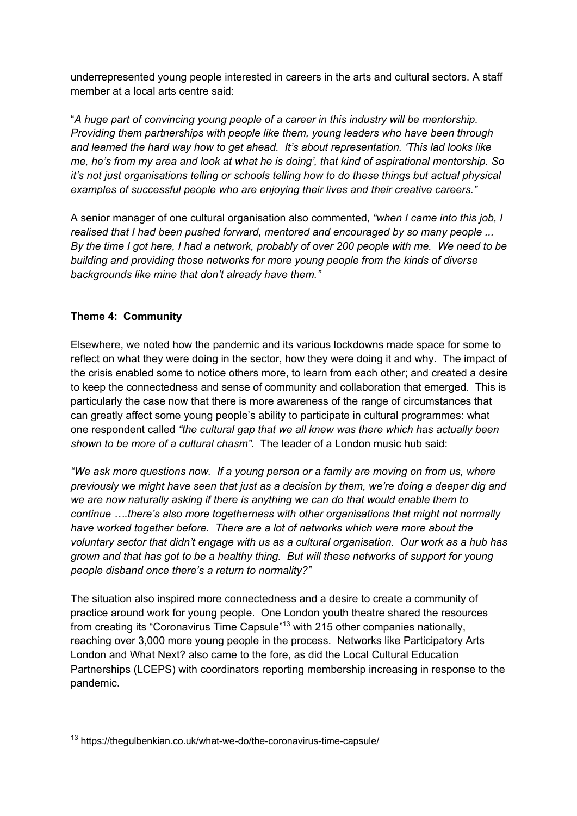underrepresented young people interested in careers in the arts and cultural sectors. A staff member at a local arts centre said:

"*A huge part of convincing young people of a career in this industry will be mentorship. Providing them partnerships with people like them, young leaders who have been through and learned the hard way how to get ahead. It's about representation. 'This lad looks like me, he's from my area and look at what he is doing', that kind of aspirational mentorship. So it's not just organisations telling or schools telling how to do these things but actual physical examples of successful people who are enjoying their lives and their creative careers."*

A senior manager of one cultural organisation also commented, *"when I came into this job, I realised that I had been pushed forward, mentored and encouraged by so many people ... By the time I got here, I had a network, probably of over 200 people with me. We need to be building and providing those networks for more young people from the kinds of diverse backgrounds like mine that don't already have them."*

## **Theme 4: Community**

Elsewhere, we noted how the pandemic and its various lockdowns made space for some to reflect on what they were doing in the sector, how they were doing it and why. The impact of the crisis enabled some to notice others more, to learn from each other; and created a desire to keep the connectedness and sense of community and collaboration that emerged. This is particularly the case now that there is more awareness of the range of circumstances that can greatly affect some young people's ability to participate in cultural programmes: what one respondent called *"the cultural gap that we all knew was there which has actually been shown to be more of a cultural chasm"*. The leader of a London music hub said:

*"We ask more questions now. If a young person or a family are moving on from us, where previously we might have seen that just as a decision by them, we're doing a deeper dig and we are now naturally asking if there is anything we can do that would enable them to continue ….there's also more togetherness with other organisations that might not normally have worked together before. There are a lot of networks which were more about the voluntary sector that didn't engage with us as a cultural organisation. Our work as a hub has grown and that has got to be a healthy thing. But will these networks of support for young people disband once there's a return to normality?"* 

The situation also inspired more connectedness and a desire to create a community of practice around work for young people. One London youth theatre shared the resources from creating its "Coronavirus Time Capsule"<sup>13</sup> with 215 other companies nationally, reaching over 3,000 more young people in the process. Networks like Participatory Arts London and What Next? also came to the fore, as did the Local Cultural Education Partnerships (LCEPS) with coordinators reporting membership increasing in response to the pandemic.

<sup>13</sup> https://thegulbenkian.co.uk/what-we-do/the-coronavirus-time-capsule/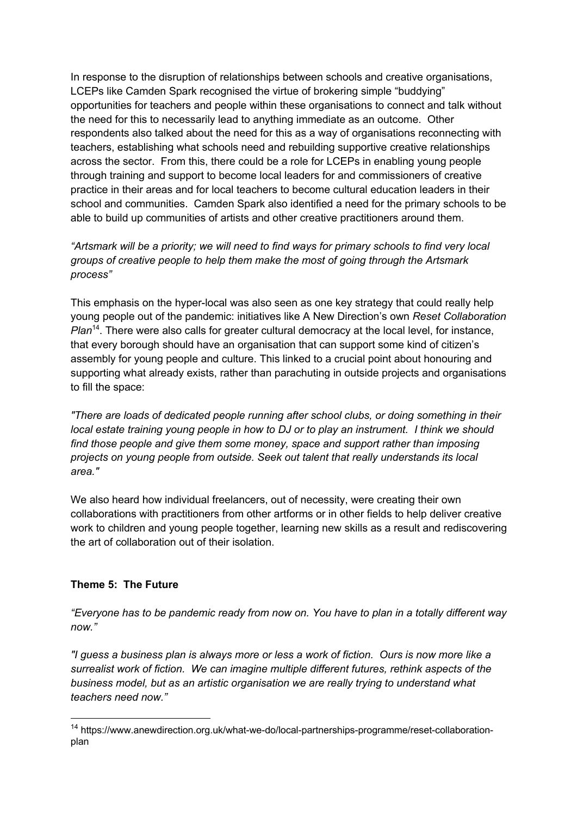In response to the disruption of relationships between schools and creative organisations, LCEPs like Camden Spark recognised the virtue of brokering simple "buddying" opportunities for teachers and people within these organisations to connect and talk without the need for this to necessarily lead to anything immediate as an outcome. Other respondents also talked about the need for this as a way of organisations reconnecting with teachers, establishing what schools need and rebuilding supportive creative relationships across the sector. From this, there could be a role for LCEPs in enabling young people through training and support to become local leaders for and commissioners of creative practice in their areas and for local teachers to become cultural education leaders in their school and communities. Camden Spark also identified a need for the primary schools to be able to build up communities of artists and other creative practitioners around them.

*"Artsmark will be a priority; we will need to find ways for primary schools to find very local groups of creative people to help them make the most of going through the Artsmark process"*

This emphasis on the hyper-local was also seen as one key strategy that could really help young people out of the pandemic: initiatives like A New Direction's own *Reset Collaboration Plan*<sup>14</sup>. There were also calls for greater cultural democracy at the local level, for instance, that every borough should have an organisation that can support some kind of citizen's assembly for young people and culture. This linked to a crucial point about honouring and supporting what already exists, rather than parachuting in outside projects and organisations to fill the space:

*"There are loads of dedicated people running after school clubs, or doing something in their local estate training young people in how to DJ or to play an instrument. I think we should find those people and give them some money, space and support rather than imposing projects on young people from outside. Seek out talent that really understands its local area."*

We also heard how individual freelancers, out of necessity, were creating their own collaborations with practitioners from other artforms or in other fields to help deliver creative work to children and young people together, learning new skills as a result and rediscovering the art of collaboration out of their isolation.

#### **Theme 5: The Future**

*"Everyone has to be pandemic ready from now on. You have to plan in a totally different way now."*

*"I guess a business plan is always more or less a work of fiction. Ours is now more like a surrealist work of fiction. We can imagine multiple different futures, rethink aspects of the business model, but as an artistic organisation we are really trying to understand what teachers need now."*

<sup>14</sup> https://www.anewdirection.org.uk/what-we-do/local-partnerships-programme/reset-collaborationplan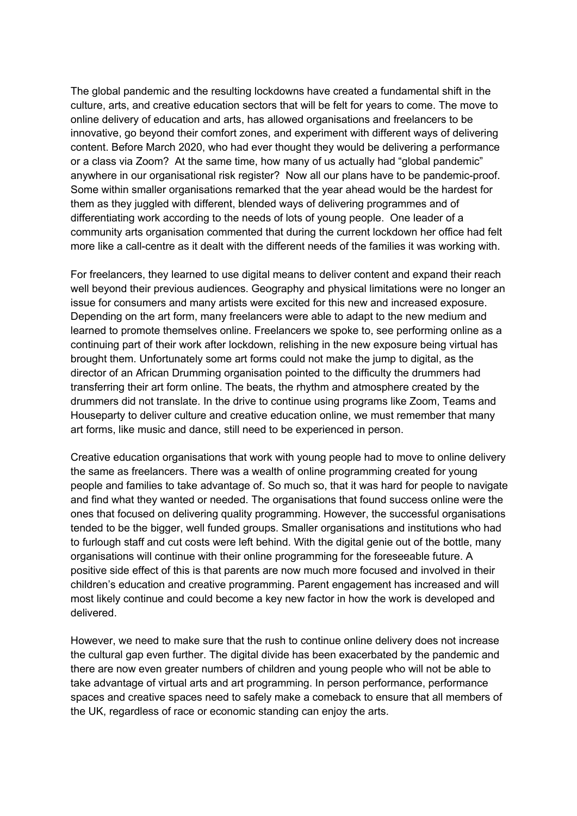The global pandemic and the resulting lockdowns have created a fundamental shift in the culture, arts, and creative education sectors that will be felt for years to come. The move to online delivery of education and arts, has allowed organisations and freelancers to be innovative, go beyond their comfort zones, and experiment with different ways of delivering content. Before March 2020, who had ever thought they would be delivering a performance or a class via Zoom? At the same time, how many of us actually had "global pandemic" anywhere in our organisational risk register? Now all our plans have to be pandemic-proof. Some within smaller organisations remarked that the year ahead would be the hardest for them as they juggled with different, blended ways of delivering programmes and of differentiating work according to the needs of lots of young people. One leader of a community arts organisation commented that during the current lockdown her office had felt more like a call-centre as it dealt with the different needs of the families it was working with.

For freelancers, they learned to use digital means to deliver content and expand their reach well beyond their previous audiences. Geography and physical limitations were no longer an issue for consumers and many artists were excited for this new and increased exposure. Depending on the art form, many freelancers were able to adapt to the new medium and learned to promote themselves online. Freelancers we spoke to, see performing online as a continuing part of their work after lockdown, relishing in the new exposure being virtual has brought them. Unfortunately some art forms could not make the jump to digital, as the director of an African Drumming organisation pointed to the difficulty the drummers had transferring their art form online. The beats, the rhythm and atmosphere created by the drummers did not translate. In the drive to continue using programs like Zoom, Teams and Houseparty to deliver culture and creative education online, we must remember that many art forms, like music and dance, still need to be experienced in person.

Creative education organisations that work with young people had to move to online delivery the same as freelancers. There was a wealth of online programming created for young people and families to take advantage of. So much so, that it was hard for people to navigate and find what they wanted or needed. The organisations that found success online were the ones that focused on delivering quality programming. However, the successful organisations tended to be the bigger, well funded groups. Smaller organisations and institutions who had to furlough staff and cut costs were left behind. With the digital genie out of the bottle, many organisations will continue with their online programming for the foreseeable future. A positive side effect of this is that parents are now much more focused and involved in their children's education and creative programming. Parent engagement has increased and will most likely continue and could become a key new factor in how the work is developed and delivered.

However, we need to make sure that the rush to continue online delivery does not increase the cultural gap even further. The digital divide has been exacerbated by the pandemic and there are now even greater numbers of children and young people who will not be able to take advantage of virtual arts and art programming. In person performance, performance spaces and creative spaces need to safely make a comeback to ensure that all members of the UK, regardless of race or economic standing can enjoy the arts.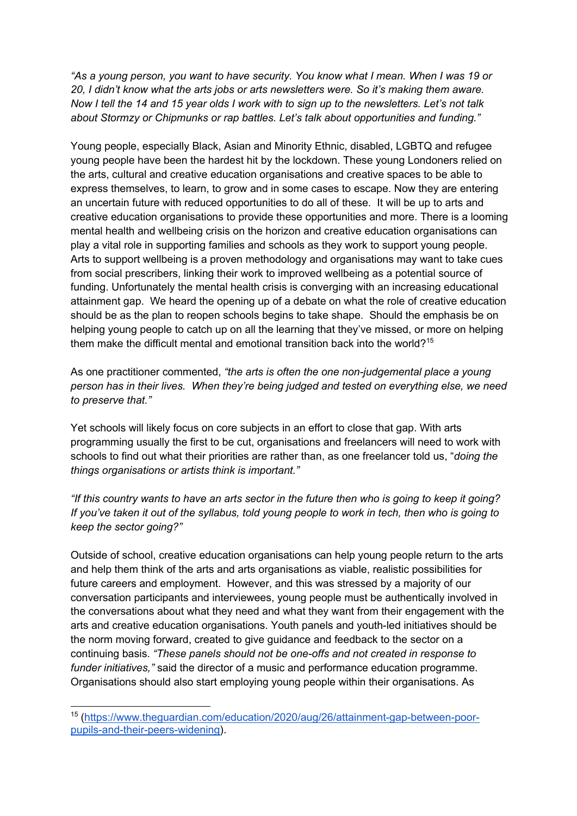*"As a young person, you want to have security. You know what I mean. When I was 19 or 20, I didn't know what the arts jobs or arts newsletters were. So it's making them aware. Now I tell the 14 and 15 year olds I work with to sign up to the newsletters. Let's not talk about Stormzy or Chipmunks or rap battles. Let's talk about opportunities and funding."*

Young people, especially Black, Asian and Minority Ethnic, disabled, LGBTQ and refugee young people have been the hardest hit by the lockdown. These young Londoners relied on the arts, cultural and creative education organisations and creative spaces to be able to express themselves, to learn, to grow and in some cases to escape. Now they are entering an uncertain future with reduced opportunities to do all of these. It will be up to arts and creative education organisations to provide these opportunities and more. There is a looming mental health and wellbeing crisis on the horizon and creative education organisations can play a vital role in supporting families and schools as they work to support young people. Arts to support wellbeing is a proven methodology and organisations may want to take cues from social prescribers, linking their work to improved wellbeing as a potential source of funding. Unfortunately the mental health crisis is converging with an increasing educational attainment gap. We heard the opening up of a debate on what the role of creative education should be as the plan to reopen schools begins to take shape. Should the emphasis be on helping young people to catch up on all the learning that they've missed, or more on helping them make the difficult mental and emotional transition back into the world?<sup>15</sup>

As one practitioner commented, *"the arts is often the one non-judgemental place a young person has in their lives. When they're being judged and tested on everything else, we need to preserve that."*

Yet schools will likely focus on core subjects in an effort to close that gap. With arts programming usually the first to be cut, organisations and freelancers will need to work with schools to find out what their priorities are rather than, as one freelancer told us, "*doing the things organisations or artists think is important."*

*"If this country wants to have an arts sector in the future then who is going to keep it going? If you've taken it out of the syllabus, told young people to work in tech, then who is going to keep the sector going?"*

Outside of school, creative education organisations can help young people return to the arts and help them think of the arts and arts organisations as viable, realistic possibilities for future careers and employment. However, and this was stressed by a majority of our conversation participants and interviewees, young people must be authentically involved in the conversations about what they need and what they want from their engagement with the arts and creative education organisations. Youth panels and youth-led initiatives should be the norm moving forward, created to give guidance and feedback to the sector on a continuing basis. *"These panels should not be one-offs and not created in response to funder initiatives,"* said the director of a music and performance education programme. Organisations should also start employing young people within their organisations. As

<sup>15</sup> (https://www.theguardian.com/education/2020/aug/26/attainment-gap-between-poorpupils-and-their-peers-widening).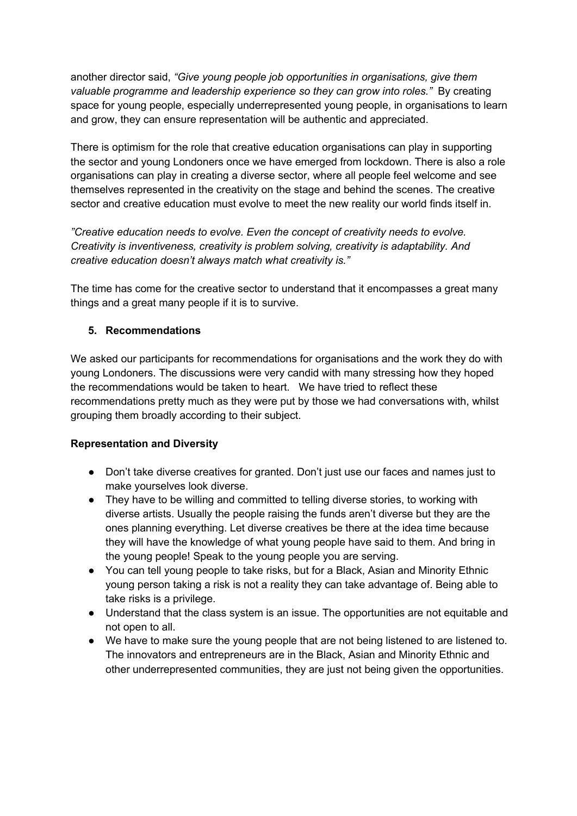another director said, *"Give young people job opportunities in organisations, give them valuable programme and leadership experience so they can grow into roles."* By creating space for young people, especially underrepresented young people, in organisations to learn and grow, they can ensure representation will be authentic and appreciated.

There is optimism for the role that creative education organisations can play in supporting the sector and young Londoners once we have emerged from lockdown. There is also a role organisations can play in creating a diverse sector, where all people feel welcome and see themselves represented in the creativity on the stage and behind the scenes. The creative sector and creative education must evolve to meet the new reality our world finds itself in.

*"Creative education needs to evolve. Even the concept of creativity needs to evolve. Creativity is inventiveness, creativity is problem solving, creativity is adaptability. And creative education doesn't always match what creativity is."*

The time has come for the creative sector to understand that it encompasses a great many things and a great many people if it is to survive.

## **5. Recommendations**

We asked our participants for recommendations for organisations and the work they do with young Londoners. The discussions were very candid with many stressing how they hoped the recommendations would be taken to heart. We have tried to reflect these recommendations pretty much as they were put by those we had conversations with, whilst grouping them broadly according to their subject.

## **Representation and Diversity**

- Don't take diverse creatives for granted. Don't just use our faces and names just to make yourselves look diverse.
- They have to be willing and committed to telling diverse stories, to working with diverse artists. Usually the people raising the funds aren't diverse but they are the ones planning everything. Let diverse creatives be there at the idea time because they will have the knowledge of what young people have said to them. And bring in the young people! Speak to the young people you are serving.
- You can tell young people to take risks, but for a Black, Asian and Minority Ethnic young person taking a risk is not a reality they can take advantage of. Being able to take risks is a privilege.
- Understand that the class system is an issue. The opportunities are not equitable and not open to all.
- We have to make sure the young people that are not being listened to are listened to. The innovators and entrepreneurs are in the Black, Asian and Minority Ethnic and other underrepresented communities, they are just not being given the opportunities.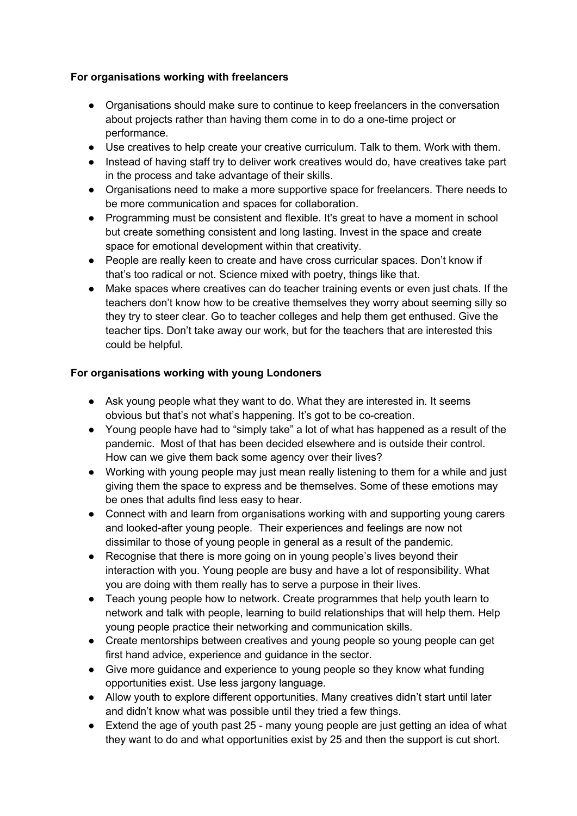# **For organisations working with freelancers**

- Organisations should make sure to continue to keep freelancers in the conversation about projects rather than having them come in to do a one-time project or performance.
- Use creatives to help create your creative curriculum. Talk to them. Work with them.
- Instead of having staff try to deliver work creatives would do, have creatives take part in the process and take advantage of their skills.
- Organisations need to make a more supportive space for freelancers. There needs to be more communication and spaces for collaboration.
- Programming must be consistent and flexible. It's great to have a moment in school but create something consistent and long lasting. Invest in the space and create space for emotional development within that creativity.
- People are really keen to create and have cross curricular spaces. Don't know if that's too radical or not. Science mixed with poetry, things like that.
- Make spaces where creatives can do teacher training events or even just chats. If the teachers don't know how to be creative themselves they worry about seeming silly so they try to steer clear. Go to teacher colleges and help them get enthused. Give the teacher tips. Don't take away our work, but for the teachers that are interested this could be helpful.

# **For organisations working with young Londoners**

- Ask young people what they want to do. What they are interested in. It seems obvious but that's not what's happening. It's got to be co-creation.
- Young people have had to "simply take" a lot of what has happened as a result of the pandemic. Most of that has been decided elsewhere and is outside their control. How can we give them back some agency over their lives?
- Working with young people may just mean really listening to them for a while and just giving them the space to express and be themselves. Some of these emotions may be ones that adults find less easy to hear.
- Connect with and learn from organisations working with and supporting young carers and looked-after young people. Their experiences and feelings are now not dissimilar to those of young people in general as a result of the pandemic.
- Recognise that there is more going on in young people's lives beyond their interaction with you. Young people are busy and have a lot of responsibility. What you are doing with them really has to serve a purpose in their lives.
- Teach young people how to network. Create programmes that help youth learn to network and talk with people, learning to build relationships that will help them. Help young people practice their networking and communication skills.
- Create mentorships between creatives and young people so young people can get first hand advice, experience and guidance in the sector.
- Give more guidance and experience to young people so they know what funding opportunities exist. Use less jargony language.
- Allow youth to explore different opportunities. Many creatives didn't start until later and didn't know what was possible until they tried a few things.
- Extend the age of youth past 25 many young people are just getting an idea of what they want to do and what opportunities exist by 25 and then the support is cut short.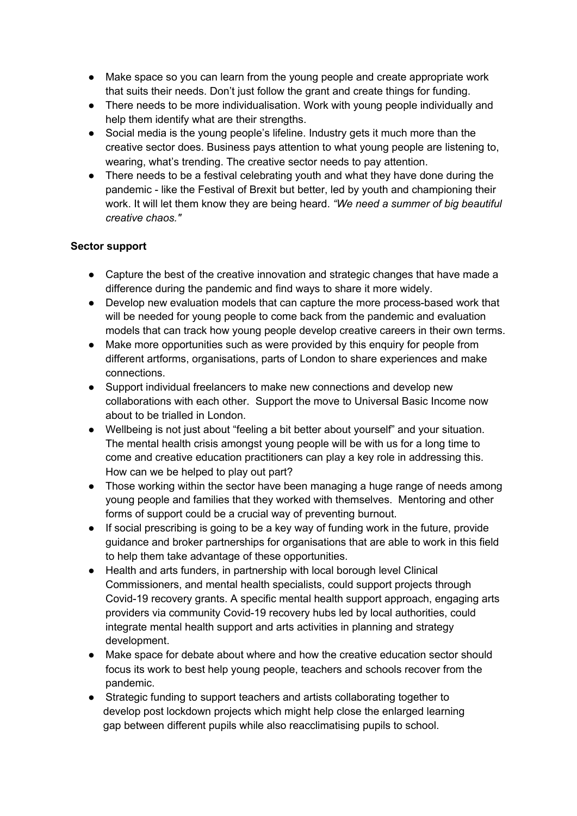- Make space so you can learn from the young people and create appropriate work that suits their needs. Don't just follow the grant and create things for funding.
- There needs to be more individualisation. Work with young people individually and help them identify what are their strengths.
- Social media is the young people's lifeline. Industry gets it much more than the creative sector does. Business pays attention to what young people are listening to, wearing, what's trending. The creative sector needs to pay attention.
- There needs to be a festival celebrating youth and what they have done during the pandemic - like the Festival of Brexit but better, led by youth and championing their work. It will let them know they are being heard. *"We need a summer of big beautiful creative chaos."*

## **Sector support**

- Capture the best of the creative innovation and strategic changes that have made a difference during the pandemic and find ways to share it more widely.
- Develop new evaluation models that can capture the more process-based work that will be needed for young people to come back from the pandemic and evaluation models that can track how young people develop creative careers in their own terms.
- Make more opportunities such as were provided by this enquiry for people from different artforms, organisations, parts of London to share experiences and make connections.
- Support individual freelancers to make new connections and develop new collaborations with each other. Support the move to Universal Basic Income now about to be trialled in London.
- Wellbeing is not just about "feeling a bit better about yourself" and your situation. The mental health crisis amongst young people will be with us for a long time to come and creative education practitioners can play a key role in addressing this. How can we be helped to play out part?
- Those working within the sector have been managing a huge range of needs among young people and families that they worked with themselves. Mentoring and other forms of support could be a crucial way of preventing burnout.
- If social prescribing is going to be a key way of funding work in the future, provide guidance and broker partnerships for organisations that are able to work in this field to help them take advantage of these opportunities.
- Health and arts funders, in partnership with local borough level Clinical Commissioners, and mental health specialists, could support projects through Covid-19 recovery grants. A specific mental health support approach, engaging arts providers via community Covid-19 recovery hubs led by local authorities, could integrate mental health support and arts activities in planning and strategy development.
- Make space for debate about where and how the creative education sector should focus its work to best help young people, teachers and schools recover from the pandemic.
- Strategic funding to support teachers and artists collaborating together to develop post lockdown projects which might help close the enlarged learning gap between different pupils while also reacclimatising pupils to school.